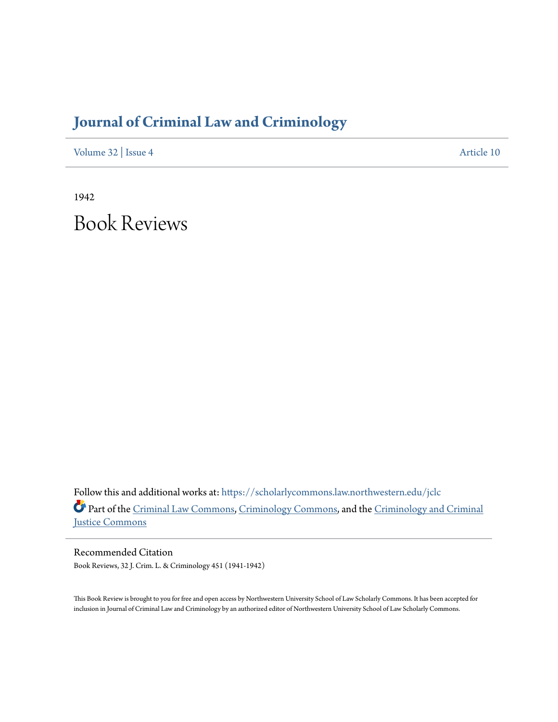## **[Journal of Criminal Law and Criminology](https://scholarlycommons.law.northwestern.edu/jclc?utm_source=scholarlycommons.law.northwestern.edu%2Fjclc%2Fvol32%2Fiss4%2F10&utm_medium=PDF&utm_campaign=PDFCoverPages)**

[Volume 32](https://scholarlycommons.law.northwestern.edu/jclc/vol32?utm_source=scholarlycommons.law.northwestern.edu%2Fjclc%2Fvol32%2Fiss4%2F10&utm_medium=PDF&utm_campaign=PDFCoverPages) | [Issue 4](https://scholarlycommons.law.northwestern.edu/jclc/vol32/iss4?utm_source=scholarlycommons.law.northwestern.edu%2Fjclc%2Fvol32%2Fiss4%2F10&utm_medium=PDF&utm_campaign=PDFCoverPages) [Article 10](https://scholarlycommons.law.northwestern.edu/jclc/vol32/iss4/10?utm_source=scholarlycommons.law.northwestern.edu%2Fjclc%2Fvol32%2Fiss4%2F10&utm_medium=PDF&utm_campaign=PDFCoverPages)

1942 Book Reviews

Follow this and additional works at: [https://scholarlycommons.law.northwestern.edu/jclc](https://scholarlycommons.law.northwestern.edu/jclc?utm_source=scholarlycommons.law.northwestern.edu%2Fjclc%2Fvol32%2Fiss4%2F10&utm_medium=PDF&utm_campaign=PDFCoverPages) Part of the [Criminal Law Commons](http://network.bepress.com/hgg/discipline/912?utm_source=scholarlycommons.law.northwestern.edu%2Fjclc%2Fvol32%2Fiss4%2F10&utm_medium=PDF&utm_campaign=PDFCoverPages), [Criminology Commons](http://network.bepress.com/hgg/discipline/417?utm_source=scholarlycommons.law.northwestern.edu%2Fjclc%2Fvol32%2Fiss4%2F10&utm_medium=PDF&utm_campaign=PDFCoverPages), and the [Criminology and Criminal](http://network.bepress.com/hgg/discipline/367?utm_source=scholarlycommons.law.northwestern.edu%2Fjclc%2Fvol32%2Fiss4%2F10&utm_medium=PDF&utm_campaign=PDFCoverPages) [Justice Commons](http://network.bepress.com/hgg/discipline/367?utm_source=scholarlycommons.law.northwestern.edu%2Fjclc%2Fvol32%2Fiss4%2F10&utm_medium=PDF&utm_campaign=PDFCoverPages)

Recommended Citation Book Reviews, 32 J. Crim. L. & Criminology 451 (1941-1942)

This Book Review is brought to you for free and open access by Northwestern University School of Law Scholarly Commons. It has been accepted for inclusion in Journal of Criminal Law and Criminology by an authorized editor of Northwestern University School of Law Scholarly Commons.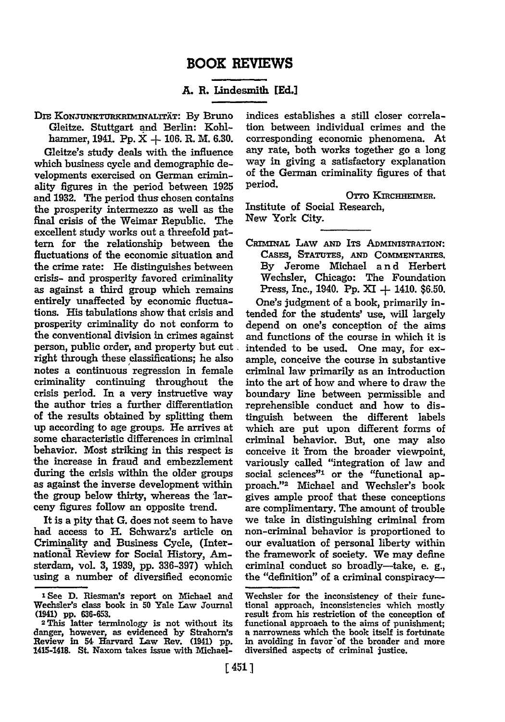## **A. B.** Lindesmith **[Ed.]**

DIE KONJUNKTURKRIMINALITÄT: BV Bruno Gleitze. Stuttgart and Berlin: Kohlhammer, 1941. **Pp.** X **± 106.** R. M. **6.30.** Gleitze's study deals with the influence which business cycle and demographic developments exercised on German criminality figures in the period between **1925** and **1932.** The period thus chosen contains the prosperity intermezzo as well as the final crisis of the Weimar Republic. The excellent study works out a threefold pattern for the relationship between the fluctuations of the economic situation and the crime rate: He distinguishes between crisis- and prosperity favored criminality as against a third group which remains entirely unaffected **by** economic fluctuations. His tabulations show that crisis and prosperity criminality do not conform to the conventional division in crimes against person, public order, and property but cut right through these classifications; he also notes a continuous regression in female criminality continuing throughout the crisis period. In a very instructive way the author tries a further differentiation of the results obtained **by** splitting them up according to age groups. He arrives at some characteristic differences in criminal behavior. Most striking in this respect is the increase in fraud and embezzlement during the crisis within the older groups as against the inverse development within the group below thirty, whereas the larceny figures follow an opposite trend.

It is a pity that **G.** does not seem to have had access to H. Schwarz's article on Criminality and Business Cycle, (International Review for Social History, Amsterdam, vol. **3, 1939, pp. 336-397)** which using a number of diversified economic indices establishes a still closer correlation between individual crimes and the corresponding economic phenomena. At any rate, both works together go a long way in giving a satisfactory explanation of the German criminality figures of that period.

OTTO KIRCHHEIMER.

Institute of Social Research, New York City.

One's judgment of a book, primarily intended for the students' use, will largely depend on one's conception of the aims and functions of the course in which it is intended to be used. One may, for example, conceive the course in substantive criminal law primarily as an introduction into the art of how and where to draw the boundary line between permissible and reprehensible conduct and how to distinguish between the different labels which are put upon different forms of criminal behavior. But, one may also conceive it from the broader viewpoint, variously called "integration of law and social sciences"<sup>1</sup> or the "functional approach."2 Michael and Wechsler's book gives ample proof that these conceptions **are** complimentary. The amount of trouble **we take** in distinguishing criminal from non-criminal behavior is proportioned to our evaluation of personal liberty within the framework of society. We may define criminal conduct so broadly-take, e. g., the "definition" of a criminal conspiracy-

**<sup>1</sup>** See **D.** Riesman's report on Michael and Wechsler's class book in **50** Yale Law Journal **(1941) pp. 636-653.**

**<sup>2</sup>** This latter terminology is not without its danger, however, as evidenced **by** Strahorn's Review in 54 Harvard Law Rev. (1941) **pp.** 1415-1418. **St.** Naxom takes issue with Michael-

CRIMIAL **LAW AND ITS ADMimSTRATION: CASES, STATUTES, AND COMMENTARIES. By** Jerome Michael a n **d** Herbert Wechsler, Chicago: The Foundation Press, Inc., 1940. Pp. **XI +** 1410. \$6.50.

Wechsler for the inconsistency of their functional approach, inconsistencies which mostly result from his restriction of the conception of functional approach to the aims of punishment; a narrowness which the book itself is fortunate in avoiding in favor-of the broader and more diversified aspects of criminal justice.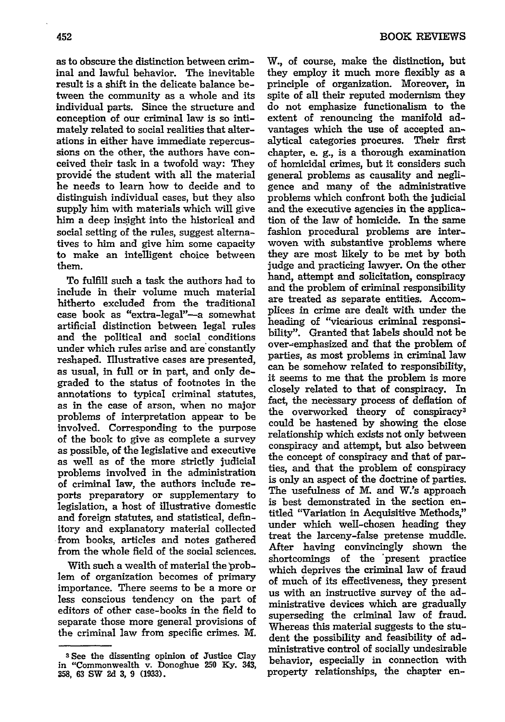as to obscure the distinction between criminal and lawful behavior. The inevitable result is a shift in the delicate balance between the community as a whole and its individual parts. Since the structure and conception of our criminal law is so intimately related to social realities that alterations in either have immediate repercussions on the other, the authors have conceived their task in a twofold way: They provide the student with all the material he needs to learn how to decide and to distinguish individual cases, but they also supply him with materials which will give him a deep insight into the historical and social setting of the rules, suggest alternatives to him and give him some capacity to make an intelligent choice between them.

To fulfill such a task the authors had to include in their volume much material hitherto excluded from the traditional case book as "extra-legal"-a somewhat artificial distinction between legal rules and the political and social conditions under which rules arise and are constantly reshaped. Illustrative cases are presented, as usual, in full or in part, and only degraded to the status of footnotes in the annotations to typical criminal statutes, as in the case of arson, when no major problems of interpretation appear to be involved. Corresponding to the purpose of the book to give as complete a survey as possible, of the legislative and executive as well as of the more strictly judicial problems involved in the administration of criminal law, the authors include reports preparatory or supplementary to legislation, a host of illustrative domestic and foreign statutes, and statistical, definitory and explanatory material collected from books, articles and notes gathered from the whole field of the social sciences.

With such a wealth of material the problem of organization becomes of primary importance. There seems to be a more or less conscious tendency on the part of editors of other case-books in the field to separate those more general provisions of the criminal law from specific crimes. M.

W., of course, make the distinction, but they employ it much more flexibly as a principle of organization. Moreover, in spite of all their reputed modernism they do not emphasize functionalism to the extent of renouncing the manifold advantages which the use of accepted analytical categories procures. Their first chapter, e. g., is a thorough examination of homicidal crimes, but it considers such general problems as causality and negligence and many of the administrative problems which confront both the judicial and the executive agencies in the application of the law of homicide. In the same fashion procedural problems are interwoven with substantive problems where they are most likely to be met **by** both judge and practicing lawyer. On the other hand, attempt and solicitation, conspiracy and the problem of criminal responsibility are treated as separate entities. Accomplices in crime are dealt with under the heading of "vicarious criminal responsibility". Granted that labels should not be over-emphasized and that the problem of parties, as most problems in criminal law can be somehow related to responsibility, it seems to me that the problem is more closely related to that of conspiracy. In fact, the necessary process of deflation of the overworked theory of conspiracy<sup>3</sup> could be hastened by showing the close relationship which exists not only between conspiracy and attempt, but also between the concept of conspiracy and that of parties, and that the problem of conspiracy is only an aspect of the doctrine of parties. The usefulness of M. and W.'s approach is best demonstrated in the section entitled "Variation in Acquisitive Methods," under which well-chosen heading they treat the larceny-false pretense muddle. After having convincingly shown the shortcomings of the 'present practice which deprives the criminal law of fraud of much of its effectiveness, they present us with an instructive survey of the administrative devices which are gradually superseding the criminal law of fraud. Whereas this material suggests to the student the possibility and feasibility of administrative control of socially undesirable behavior, especially in connection with property relationships, the chapter en-

**s** See the dissenting opinion of Justice Clay in "Commonwealth v. Donoghue **250 Ky. 343, 358, 63 SW 2d 3, 9 (1933).**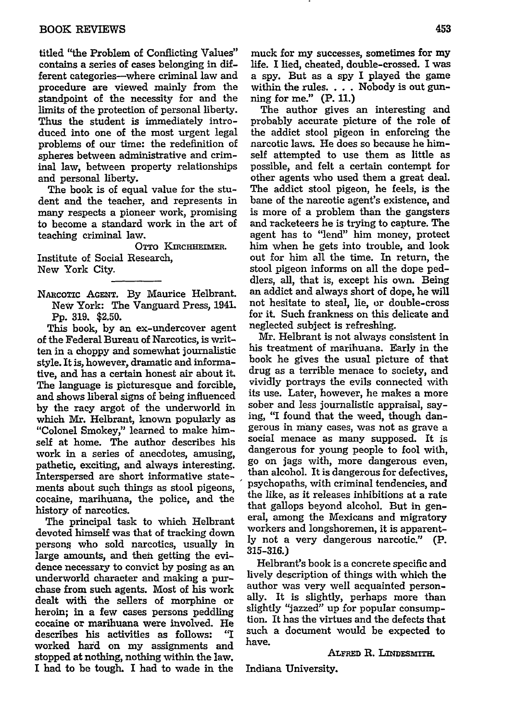titled '"the Problem of Conflicting Values" contains a series of cases belonging in different categories-where criminal law and procedure are viewed mainly from the standpoint of the necessity for and the limits of the protection of personal liberty. Thus the student is immediately introduced into one of the most urgent legal problems of our time: the redefinition of spheres between administrative and criminal law, between property relationships and personal liberty.

The book is of equal value for the student and the teacher, and represents in many respects a pioneer work, promising to become a standard work in the art of teaching criminal law.

OTTO **KIRCHHEIMER.** Institute of Social Research, New York City.

NARcoTIc **AGENT. By** Maurice Helbrant. New York: The Vanguard Press, 1941. **Pp. 319. \$2.50.**

This book, **by** an ex-undercover agent of the Federal Bureau of Narcotics, is written in a choppy and somewhat journalistic style. It is, however, dramatic and informative, and has a certain honest air about it. The language is picturesque and forcible, and shows liberal signs of being influenced by the racy argot of the underworld in which Mr. Helbrant, known popularly as "Colonel Smokey," learned to make himself at home. The author describes his work in a series of anecdotes, amusing, pathetic, exciting, and always interesting. Interspersed are short informative statements about such things as stool pigeons, cocaine, marihuana, the police, and the history of narcotics.

The principal task to which Helbrant devoted himself was that of tracking down persons who sold narcotics, usually in large amounts, and then getting the evidence necessary to convict by posing as an underworld character and making a purchase from such agents. Most of his work dealt with the sellers of morphine or heroin; in a few cases persons peddling cocaine or marihuana were involved. He describes his activities as follows: "I worked hard on my assignments and stopped at nothing, nothing within the law. I had to be tough. I had to wade in the

muck for my successes, sometimes for my life. **I** lied, cheated, double-crossed. I was a spy. But as a spy I played the game within the rules. . **.** . Nobody is out gunning for me." (P. 11.)

The author gives an interesting and probably accurate picture of the role of the addict stool pigeon in enforcing the narcotic laws. He does so because he himself attempted to use them as little as possible, and felt a certain contempt for other agents who used them a great deal. The addict stool pigeon, he feels, is the bane of the narcotic agent's existence, and is more of a problem than the gangsters and racketeers he is trying to capture. The agent has to "lend" him money, protect him when he gets into trouble, and look out for him all the time. In return, the stool pigeon informs on all the dope peddlers, all, that is, except his own. Being an addict and always short of dope, he will not hesitate to steal, lie, or double-cross for it. Such frankness on this delicate and neglected subject is refreshing.

Mr. Helbrant is not always consistent in his treatment of marihuana. Early in the book he gives the usual picture of that drug as a terrible menace to society, and vividly portrays the evils connected with its use. Later, however, he makes a more sober and less journalistic appraisal, saying, "I found that the weed, though dangerous in many cases, was not as grave a social menace as many supposed. It is dangerous for young people to fool with, go on jags with, more dangerous even, than alcohol. It is dangerous for defectives, psychopaths, with criminal tendencies, and the like, as it releases inhibitions at a rate that gallops beyond alcohol. But in general, among the Mexicans and migratory workers and longshoremen, it is apparently not a very dangerous narcotic." (P. **315-316.)**

Helbrant's book is a concrete specific and lively description of things with which the author was very well acquainted personally. It is slightly, perhaps more than slightly "jazzed" up for popular consumption. It has the virtues and the defects that such a document would be expected to have.

## ALFRED R. LINDESMITH.

Indiana University.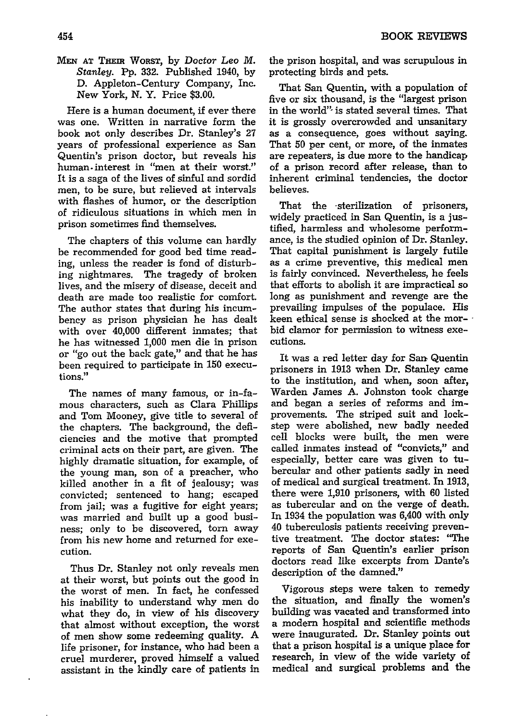**MEN AT THEm** WORsT, by *Doctor Leo M. Stanley.* Pp. 332. Published 1940, by D. Appleton-Century Company, Inc. New York, N. Y. Price \$3.00.

Here is a human document, if ever there was one. Written in narrative form the book not only describes Dr. Stanley's 27 years of professional experience as San Quentin's prison doctor, but reveals his human-interest in "men at their worst." It is a saga of the lives of sinful and sordid men, to be sure, but relieved at intervals with flashes of humor, or the description of ridiculous situations in which men in prison sometimes find themselves.

The chapters of this volume can hardly be recommended for good bed time reading, unless the reader is fond of disturbing nightmares. The tragedy of broken lives, and the misery of disease, deceit and death are made too realistic for comfort. The author states that during his incumbency as prison physician he has dealt with over 40,000 different inmates; that he has witnessed 1,000 men die in prison or "go out the back gate," and that he has been required to participate in 150 executions."

The names of many famous, or in-famous characters, such as Clara Phillips and Tom Mooney, give title to several of the chapters. The background, the deficiencies and the motive that prompted criminal acts on their part, are given. The highly dramatic situation, for example, of the young man, son of a preacher, who killed another in a fit of jealousy; was convicted; sentenced to hang; escaped from jail; was a fugitive for eight years; was married and built up a good business; only to be discovered, torn away from his new home and returned for execution.

Thus Dr. Stanley not only reveals men at their worst, but points out the good in the worst of men. In fact, he confessed his inability to understand why men do what they do, in view of his discovery that almost without exception, the worst of men show some redeeming quality. A life prisoner, for instance, who had been a cruel murderer, proved himself a valued assistant in the kindly care of patients in

the prison hospital, and was scrupulous in protecting birds and pets.

That San Quentin, with a population of five or six thousand, is the "largest prison in the world"' is stated several times. That it is grossly overcrowded and unsanitary as a consequence, goes without saying. That 50 per cent, or more, of the inmates are repeaters, is due more to the handicap of a prison record after release, than to inherent criminal tendencies, the doctor believes.

That the sterilization of prisoners, widely practiced in San Quentin, is a justiffied, harmless and wholesome performance, is the studied opinion of Dr. Stanley. That capital punishment is largely futile as a crime preventive, this medical men is fairly convinced. Nevertheless, he feels that efforts to abolish it are impractical so long as punishment and revenge are the prevailing impulses of the populace. **His** keen ethical sense is shocked at the morbid clamor for permission to witness executions.

It was a red letter day for San Quentin prisoners in 1913 when Dr. Stanley came to the institution, and when, soon after, Warden James A. Johnston took charge and began a series of reforms and improvements. The striped suit and lockstep were abolished, new badly needed cell blocks were built, the men were called inmates instead of "convicts," and especially, better care was given to tubercular and other patients sadly in need of medical and surgical treatment. In 1913, there were 1,910 prisoners, with 60 listed as tubercular and on the verge of death. In 1934 the population was 6,400 with only 40 tuberculosis patients receiving preventive treatment. The doctor states: "The reports of San Quentin's earlier prison doctors read like excerpts from Dante's description of the damned."

Vigorous steps were taken to remedy the situation, and finally the women's building was vacated and transformed into a modern hospital and scientific methods were inaugurated. Dr. Stanley points out that a prison hospital is a unique place for research, in view of the wide variety of medical and surgical problems and the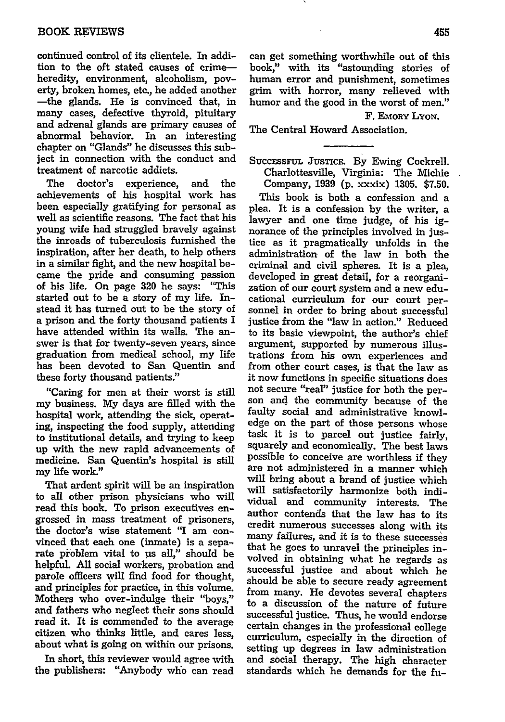continued control of its clientele. In addition to the oft stated causes of crimeheredity, environment, alcoholism, poverty, broken homes, etc., he added another -the glands. He is convinced that, in many cases, defective thyroid, pituitary and adrenal glands are primary causes of abnormal behavior. In an interesting chapter on "Glands" he discusses this subject in connection with the conduct and treatment of narcotic addicts.

The doctor's experience, and the achievements of his hospital work has been especially gratifying for personal as well as scientific reasons. The fact that his young wife had struggled bravely against the inroads of tuberculosis furnished the inspiration, after her death, to help others in a similar fight, and the new hospital became the pride and consuming passion of his life. On page **320** he says: "This started out to be a story of my life. Instead it has turned out to be the story of a prison and the forty thousand patients **I** have attended within its walls. The answer is that for twenty-seven years, since graduation from medical school, my life has been devoted to San Quentin and these forty thousand patients."

"Caring for men at their worst is still my business. **My** days are filled with the hospital work, attending the sick, operating, inspecting the food supply, attending to institutional details, and trying to keep up with the new rapid advancements of medicine. San Quentin's hospital is still my life work."

That ardent spirit will be an inspiration to all other prison physicians who will read this book. To prison executives engrossed in mass treatment of prisoners, the doctor's wise statement **"I** am convinced that each one (inmate) is a separate problem vital to us all," should be helpful. All social workers, probation and parole officers will find food for thought, and principles for practice, in this volume. Mothers who over-indulge their "boys," and fathers who neglect their sons should read it. It is commended to the average citizen who thinks little, and cares less, about what is going on within our prisons.

In short, this reviewer would agree with the publishers: "Anybody who can read can get something worthwhile out of this book," with its "astounding stories of human error and punishment, sometimes grim with horror, many relieved with humor and the good in the worst of men."

**F. EmoRY** LYoN.

The Central Howard Association.

**SUCCESSFUL JUSTICE. By** Ewing Cockrell.

Charlottesville, Virginia: The Michie Company, **1939 (p.** xxxix) **1305. \$7.50.** This book is both a confession and a plea. It is a confession **by** the writer, a lawyer and one time judge, of his ignorance of the principles involved in justice as it pragmatically unfolds in the administration of the law in both the criminal and civil spheres. It is a plea, developed in great detail, for a reorganization of our court system and a new educational curriculum for our court personnel in order to bring about successful justice from the "law in action." Reduced to its basic viewpoint, the author's chief argument, supported **by** numerous illustrations from his own experiences and from other court cases, is that the law as it now functions in specific situations does not secure "real" justice for both the person and the community because of the faulty social and administrative knowledge on the part of those persons whose task it is to parcel out justice fairly, squarely and economically. The best laws possible to conceive are worthless **if** they are not administered in a manner which will bring about a brand of justice which will satisfactorily harmonize both individual and community interests. The author contends that the law has to its credit numerous successes along with its many failures, and it is to these successes that he goes to unravel the principles involved in obtaining what he regards as successful justice and about which he should be able to secure ready agreement from many. He devotes several chapters to a discussion of the nature of future successful justice. Thus, he would endorse certain changes in the professional college curriculum, especially in the direction of setting up degrees in law administration and social therapy. The high character standards which he demands for the fiu